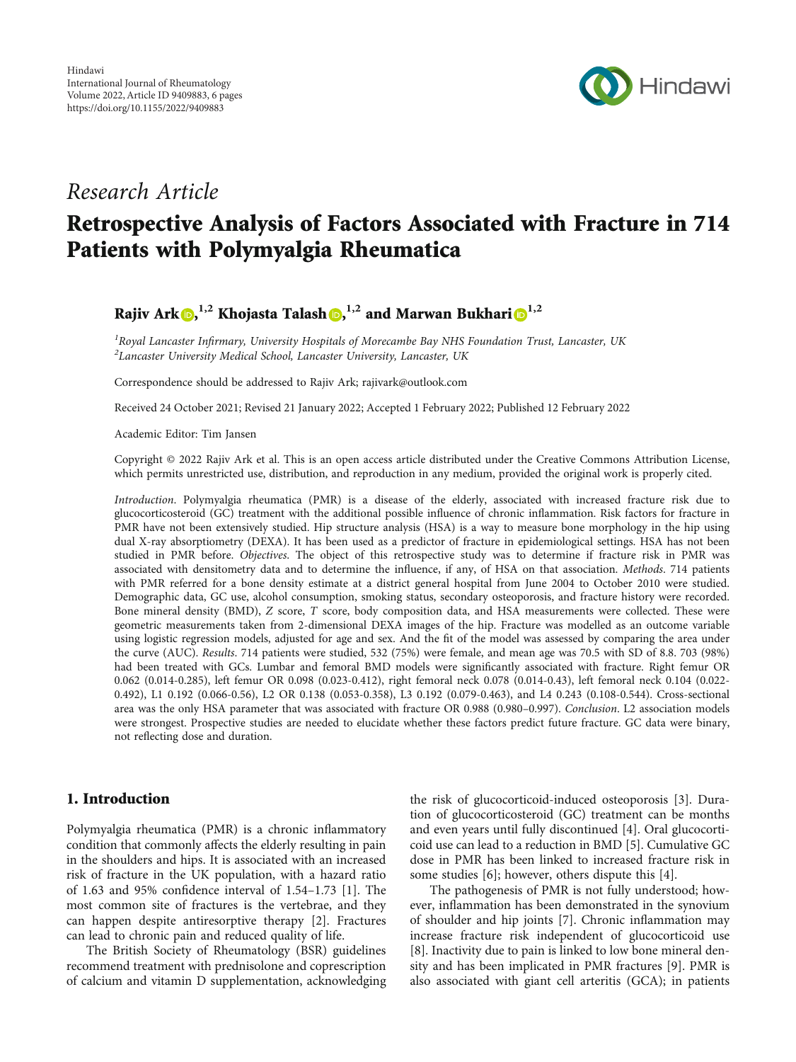

# Research Article

# Retrospective Analysis of Factors Associated with Fracture in 714 Patients with Polymyalgia Rheumatica

Rajiv Ark **D[,](https://orcid.org/0000-0002-1744-8835)**  $^{1,2}$  **Khojasta Talash D,**  $^{1,2}$  **and Marwan Bukhari D** $^{1,2}$ 

<sup>1</sup> Royal Lancaster Infirmary, University Hospitals of Morecambe Bay NHS Foundation Trust, Lancaster, UK<br><sup>2</sup> Lancaster University Medical School, Lancaster University, Lancaster, UK  ${}^{2}$ Lancaster University Medical School, Lancaster University, Lancaster, UK

Correspondence should be addressed to Rajiv Ark; rajivark@outlook.com

Received 24 October 2021; Revised 21 January 2022; Accepted 1 February 2022; Published 12 February 2022

Academic Editor: Tim Jansen

Copyright © 2022 Rajiv Ark et al. This is an open access article distributed under the [Creative Commons Attribution License](https://creativecommons.org/licenses/by/4.0/), which permits unrestricted use, distribution, and reproduction in any medium, provided the original work is properly cited.

Introduction. Polymyalgia rheumatica (PMR) is a disease of the elderly, associated with increased fracture risk due to glucocorticosteroid (GC) treatment with the additional possible influence of chronic inflammation. Risk factors for fracture in PMR have not been extensively studied. Hip structure analysis (HSA) is a way to measure bone morphology in the hip using dual X-ray absorptiometry (DEXA). It has been used as a predictor of fracture in epidemiological settings. HSA has not been studied in PMR before. Objectives. The object of this retrospective study was to determine if fracture risk in PMR was associated with densitometry data and to determine the influence, if any, of HSA on that association. Methods. 714 patients with PMR referred for a bone density estimate at a district general hospital from June 2004 to October 2010 were studied. Demographic data, GC use, alcohol consumption, smoking status, secondary osteoporosis, and fracture history were recorded. Bone mineral density (BMD), *Z* score, *T* score, body composition data, and HSA measurements were collected. These were geometric measurements taken from 2-dimensional DEXA images of the hip. Fracture was modelled as an outcome variable using logistic regression models, adjusted for age and sex. And the fit of the model was assessed by comparing the area under the curve (AUC). Results. 714 patients were studied, 532 (75%) were female, and mean age was 70.5 with SD of 8.8. 703 (98%) had been treated with GCs. Lumbar and femoral BMD models were significantly associated with fracture. Right femur OR 0.062 (0.014-0.285), left femur OR 0.098 (0.023-0.412), right femoral neck 0.078 (0.014-0.43), left femoral neck 0.104 (0.022- 0.492), L1 0.192 (0.066-0.56), L2 OR 0.138 (0.053-0.358), L3 0.192 (0.079-0.463), and L4 0.243 (0.108-0.544). Cross-sectional area was the only HSA parameter that was associated with fracture OR 0.988 (0.980-0.997). Conclusion. L2 association models were strongest. Prospective studies are needed to elucidate whether these factors predict future fracture. GC data were binary, not reflecting dose and duration.

## 1. Introduction

Polymyalgia rheumatica (PMR) is a chronic inflammatory condition that commonly affects the elderly resulting in pain in the shoulders and hips. It is associated with an increased risk of fracture in the UK population, with a hazard ratio of 1.63 and 95% confidence interval of 1.54–1.73 [[1\]](#page-4-0). The most common site of fractures is the vertebrae, and they can happen despite antiresorptive therapy [\[2\]](#page-4-0). Fractures can lead to chronic pain and reduced quality of life.

The British Society of Rheumatology (BSR) guidelines recommend treatment with prednisolone and coprescription of calcium and vitamin D supplementation, acknowledging

the risk of glucocorticoid-induced osteoporosis [\[3](#page-4-0)]. Duration of glucocorticosteroid (GC) treatment can be months and even years until fully discontinued [\[4](#page-4-0)]. Oral glucocorticoid use can lead to a reduction in BMD [[5\]](#page-4-0). Cumulative GC dose in PMR has been linked to increased fracture risk in some studies [[6\]](#page-4-0); however, others dispute this [\[4\]](#page-4-0).

The pathogenesis of PMR is not fully understood; however, inflammation has been demonstrated in the synovium of shoulder and hip joints [\[7\]](#page-4-0). Chronic inflammation may increase fracture risk independent of glucocorticoid use [\[8](#page-4-0)]. Inactivity due to pain is linked to low bone mineral density and has been implicated in PMR fractures [[9\]](#page-4-0). PMR is also associated with giant cell arteritis (GCA); in patients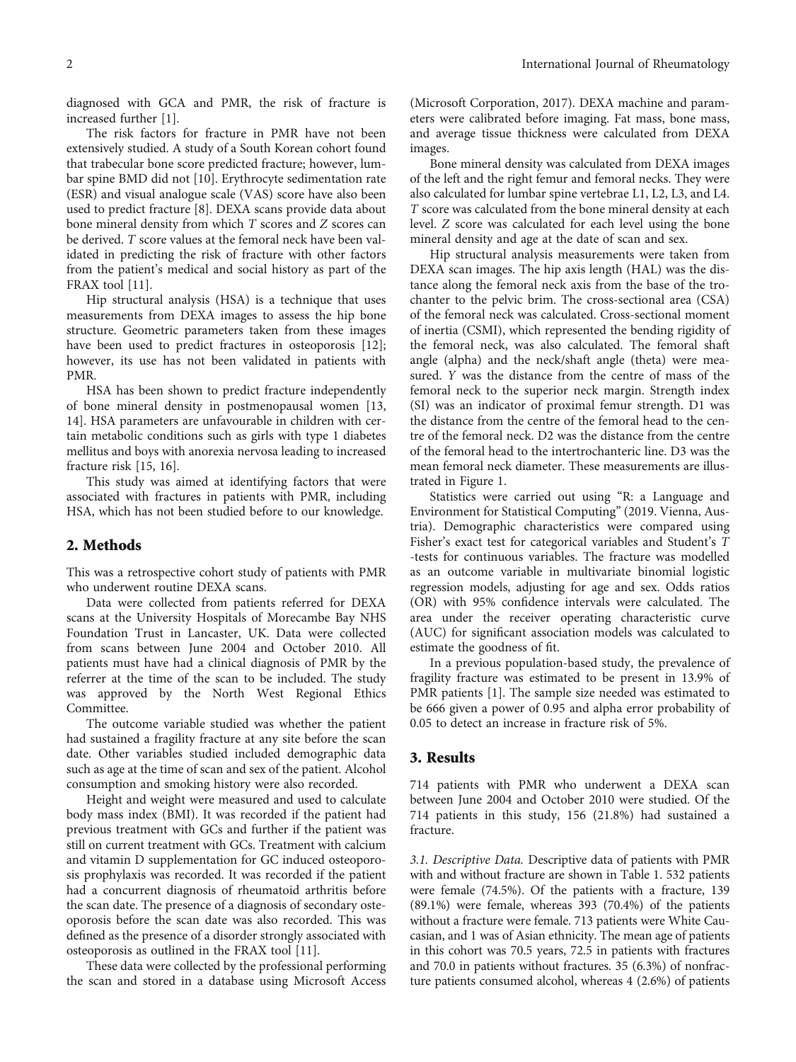diagnosed with GCA and PMR, the risk of fracture is increased further [[1\]](#page-4-0).

The risk factors for fracture in PMR have not been extensively studied. A study of a South Korean cohort found that trabecular bone score predicted fracture; however, lumbar spine BMD did not [\[10\]](#page-4-0). Erythrocyte sedimentation rate (ESR) and visual analogue scale (VAS) score have also been used to predict fracture [[8](#page-4-0)]. DEXA scans provide data about bone mineral density from which *T* scores and *Z* scores can be derived. *T* score values at the femoral neck have been validated in predicting the risk of fracture with other factors from the patient's medical and social history as part of the FRAX tool [[11](#page-4-0)].

Hip structural analysis (HSA) is a technique that uses measurements from DEXA images to assess the hip bone structure. Geometric parameters taken from these images have been used to predict fractures in osteoporosis [[12](#page-4-0)]; however, its use has not been validated in patients with PMR.

HSA has been shown to predict fracture independently of bone mineral density in postmenopausal women [\[13,](#page-5-0) [14\]](#page-5-0). HSA parameters are unfavourable in children with certain metabolic conditions such as girls with type 1 diabetes mellitus and boys with anorexia nervosa leading to increased fracture risk [\[15](#page-5-0), [16\]](#page-5-0).

This study was aimed at identifying factors that were associated with fractures in patients with PMR, including HSA, which has not been studied before to our knowledge.

#### 2. Methods

This was a retrospective cohort study of patients with PMR who underwent routine DEXA scans.

Data were collected from patients referred for DEXA scans at the University Hospitals of Morecambe Bay NHS Foundation Trust in Lancaster, UK. Data were collected from scans between June 2004 and October 2010. All patients must have had a clinical diagnosis of PMR by the referrer at the time of the scan to be included. The study was approved by the North West Regional Ethics Committee.

The outcome variable studied was whether the patient had sustained a fragility fracture at any site before the scan date. Other variables studied included demographic data such as age at the time of scan and sex of the patient. Alcohol consumption and smoking history were also recorded.

Height and weight were measured and used to calculate body mass index (BMI). It was recorded if the patient had previous treatment with GCs and further if the patient was still on current treatment with GCs. Treatment with calcium and vitamin D supplementation for GC induced osteoporosis prophylaxis was recorded. It was recorded if the patient had a concurrent diagnosis of rheumatoid arthritis before the scan date. The presence of a diagnosis of secondary osteoporosis before the scan date was also recorded. This was defined as the presence of a disorder strongly associated with osteoporosis as outlined in the FRAX tool [\[11\]](#page-4-0).

These data were collected by the professional performing the scan and stored in a database using Microsoft Access

(Microsoft Corporation, 2017). DEXA machine and parameters were calibrated before imaging. Fat mass, bone mass, and average tissue thickness were calculated from DEXA images.

Bone mineral density was calculated from DEXA images of the left and the right femur and femoral necks. They were also calculated for lumbar spine vertebrae L1, L2, L3, and L4. *T* score was calculated from the bone mineral density at each level. *Z* score was calculated for each level using the bone mineral density and age at the date of scan and sex.

Hip structural analysis measurements were taken from DEXA scan images. The hip axis length (HAL) was the distance along the femoral neck axis from the base of the trochanter to the pelvic brim. The cross-sectional area (CSA) of the femoral neck was calculated. Cross-sectional moment of inertia (CSMI), which represented the bending rigidity of the femoral neck, was also calculated. The femoral shaft angle (alpha) and the neck/shaft angle (theta) were measured. *Y* was the distance from the centre of mass of the femoral neck to the superior neck margin. Strength index (SI) was an indicator of proximal femur strength. D1 was the distance from the centre of the femoral head to the centre of the femoral neck. D2 was the distance from the centre of the femoral head to the intertrochanteric line. D3 was the mean femoral neck diameter. These measurements are illustrated in Figure [1.](#page-2-0)

Statistics were carried out using "R: a Language and Environment for Statistical Computing" (2019. Vienna, Austria). Demographic characteristics were compared using Fisher's exact test for categorical variables and Student's *T* -tests for continuous variables. The fracture was modelled as an outcome variable in multivariate binomial logistic regression models, adjusting for age and sex. Odds ratios (OR) with 95% confidence intervals were calculated. The area under the receiver operating characteristic curve (AUC) for significant association models was calculated to estimate the goodness of fit.

In a previous population-based study, the prevalence of fragility fracture was estimated to be present in 13.9% of PMR patients [[1](#page-4-0)]. The sample size needed was estimated to be 666 given a power of 0.95 and alpha error probability of 0.05 to detect an increase in fracture risk of 5%.

#### 3. Results

714 patients with PMR who underwent a DEXA scan between June 2004 and October 2010 were studied. Of the 714 patients in this study, 156 (21.8%) had sustained a fracture.

3.1. Descriptive Data. Descriptive data of patients with PMR with and without fracture are shown in Table [1](#page-2-0). 532 patients were female (74.5%). Of the patients with a fracture, 139 (89.1%) were female, whereas 393 (70.4%) of the patients without a fracture were female. 713 patients were White Caucasian, and 1 was of Asian ethnicity. The mean age of patients in this cohort was 70.5 years, 72.5 in patients with fractures and 70.0 in patients without fractures. 35 (6.3%) of nonfracture patients consumed alcohol, whereas 4 (2.6%) of patients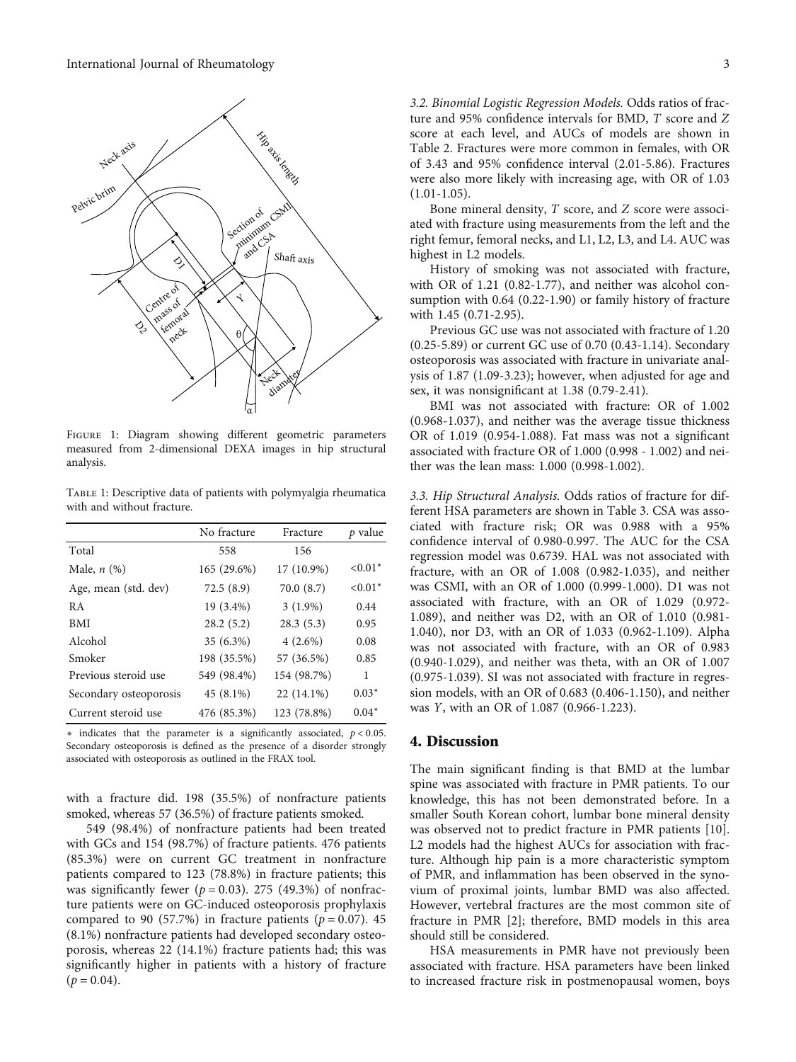<span id="page-2-0"></span>

FIGURE 1: Diagram showing different geometric parameters measured from 2-dimensional DEXA images in hip structural analysis.

Table 1: Descriptive data of patients with polymyalgia rheumatica with and without fracture.

|                        | No fracture | Fracture     | p value   |
|------------------------|-------------|--------------|-----------|
| Total                  | 558         | 156          |           |
| Male, $n$ $(\%)$       | 165 (29.6%) | 17 (10.9%)   | $< 0.01*$ |
| Age, mean (std. dev)   | 72.5(8.9)   | 70.0 (8.7)   | $< 0.01*$ |
| R A                    | 19 (3.4%)   | $3(1.9\%)$   | 0.44      |
| <b>BMI</b>             | 28.2(5.2)   | 28.3(5.3)    | 0.95      |
| Alcohol                | 35 (6.3%)   | $4(2.6\%)$   | 0.08      |
| Smoker                 | 198 (35.5%) | 57 (36.5%)   | 0.85      |
| Previous steroid use   | 549 (98.4%) | 154 (98.7%)  | 1         |
| Secondary osteoporosis | 45 (8.1%)   | $22(14.1\%)$ | $0.03*$   |
| Current steroid use    | 476 (85.3%) | 123 (78.8%)  | $0.04*$   |

∗ indicates that the parameter is a significantly associated, *p* < 0*:*05. Secondary osteoporosis is defined as the presence of a disorder strongly associated with osteoporosis as outlined in the FRAX tool.

with a fracture did. 198 (35.5%) of nonfracture patients smoked, whereas 57 (36.5%) of fracture patients smoked.

549 (98.4%) of nonfracture patients had been treated with GCs and 154 (98.7%) of fracture patients. 476 patients (85.3%) were on current GC treatment in nonfracture patients compared to 123 (78.8%) in fracture patients; this was significantly fewer ( $p = 0.03$ ). 275 (49.3%) of nonfracture patients were on GC-induced osteoporosis prophylaxis compared to 90 (57.7%) in fracture patients ( $p = 0.07$ ). 45 (8.1%) nonfracture patients had developed secondary osteoporosis, whereas 22 (14.1%) fracture patients had; this was significantly higher in patients with a history of fracture  $(p = 0.04)$ .

3.2. Binomial Logistic Regression Models. Odds ratios of fracture and 95% confidence intervals for BMD, *T* score and *Z* score at each level, and AUCs of models are shown in Table [2](#page-3-0). Fractures were more common in females, with OR of 3.43 and 95% confidence interval (2.01-5.86). Fractures were also more likely with increasing age, with OR of 1.03  $(1.01-1.05)$ .

Bone mineral density, *T* score, and *Z* score were associated with fracture using measurements from the left and the right femur, femoral necks, and L1, L2, L3, and L4. AUC was highest in L2 models.

History of smoking was not associated with fracture, with OR of 1.21 (0.82-1.77), and neither was alcohol consumption with 0.64 (0.22-1.90) or family history of fracture with 1.45 (0.71-2.95).

Previous GC use was not associated with fracture of 1.20 (0.25-5.89) or current GC use of 0.70 (0.43-1.14). Secondary osteoporosis was associated with fracture in univariate analysis of 1.87 (1.09-3.23); however, when adjusted for age and sex, it was nonsignificant at 1.38 (0.79-2.41).

BMI was not associated with fracture: OR of 1.002 (0.968-1.037), and neither was the average tissue thickness OR of 1.019 (0.954-1.088). Fat mass was not a significant associated with fracture OR of 1.000 (0.998 - 1.002) and neither was the lean mass: 1.000 (0.998-1.002).

3.3. Hip Structural Analysis. Odds ratios of fracture for different HSA parameters are shown in Table [3](#page-3-0). CSA was associated with fracture risk; OR was 0.988 with a 95% confidence interval of 0.980-0.997. The AUC for the CSA regression model was 0.6739. HAL was not associated with fracture, with an OR of 1.008 (0.982-1.035), and neither was CSMI, with an OR of 1.000 (0.999-1.000). D1 was not associated with fracture, with an OR of 1.029 (0.972- 1.089), and neither was D2, with an OR of 1.010 (0.981- 1.040), nor D3, with an OR of 1.033 (0.962-1.109). Alpha was not associated with fracture, with an OR of 0.983 (0.940-1.029), and neither was theta, with an OR of 1.007 (0.975-1.039). SI was not associated with fracture in regression models, with an OR of 0.683 (0.406-1.150), and neither was *Y*, with an OR of 1.087 (0.966-1.223).

#### 4. Discussion

The main significant finding is that BMD at the lumbar spine was associated with fracture in PMR patients. To our knowledge, this has not been demonstrated before. In a smaller South Korean cohort, lumbar bone mineral density was observed not to predict fracture in PMR patients [[10](#page-4-0)]. L2 models had the highest AUCs for association with fracture. Although hip pain is a more characteristic symptom of PMR, and inflammation has been observed in the synovium of proximal joints, lumbar BMD was also affected. However, vertebral fractures are the most common site of fracture in PMR [\[2](#page-4-0)]; therefore, BMD models in this area should still be considered.

HSA measurements in PMR have not previously been associated with fracture. HSA parameters have been linked to increased fracture risk in postmenopausal women, boys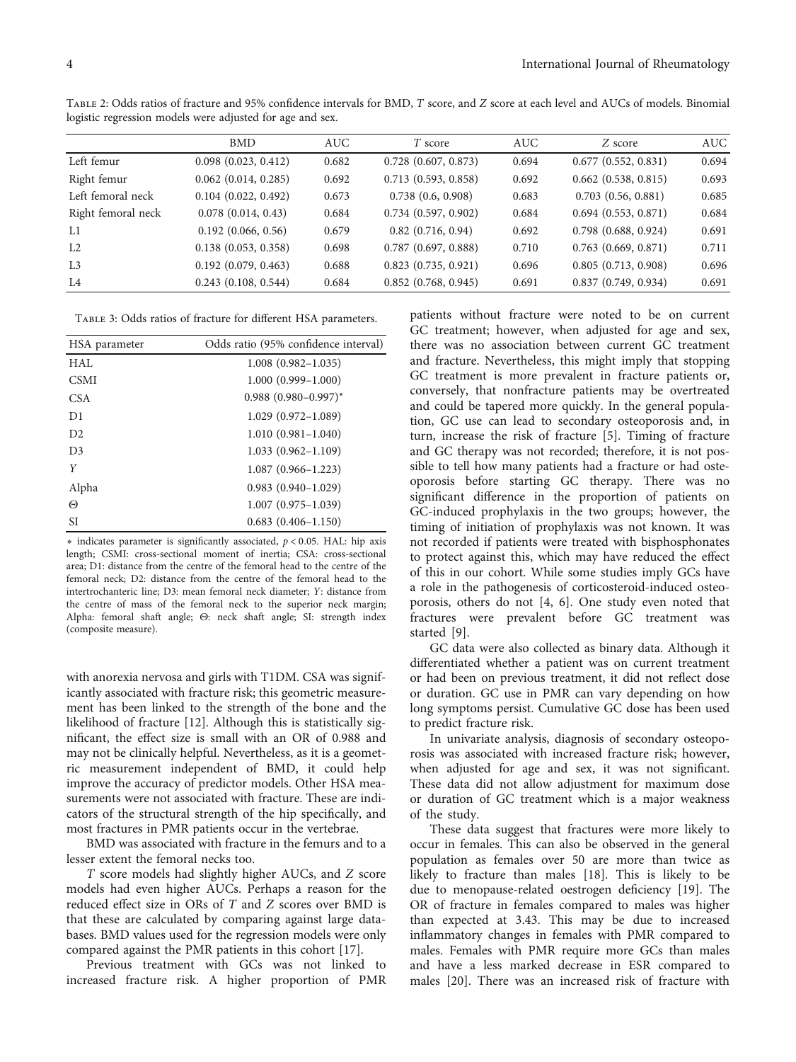|                    | <b>BMD</b>               | <b>AUC</b> | T score                  | <b>AUC</b> | Z score                  | <b>AUC</b> |
|--------------------|--------------------------|------------|--------------------------|------------|--------------------------|------------|
| Left femur         | 0.098(0.023, 0.412)      | 0.682      | $0.728$ $(0.607, 0.873)$ | 0.694      | 0.677(0.552, 0.831)      | 0.694      |
| Right femur        | $0.062$ $(0.014, 0.285)$ | 0.692      | 0.713(0.593, 0.858)      | 0.692      | $0.662$ $(0.538, 0.815)$ | 0.693      |
| Left femoral neck  | 0.104(0.022, 0.492)      | 0.673      | 0.738(0.6, 0.908)        | 0.683      | 0.703(0.56, 0.881)       | 0.685      |
| Right femoral neck | 0.078(0.014, 0.43)       | 0.684      | 0.734(0.597, 0.902)      | 0.684      | 0.694(0.553, 0.871)      | 0.684      |
| L1                 | 0.192(0.066, 0.56)       | 0.679      | $0.82$ $(0.716, 0.94)$   | 0.692      | 0.798(0.688, 0.924)      | 0.691      |
| L2                 | 0.138(0.053, 0.358)      | 0.698      | 0.787(0.697, 0.888)      | 0.710      | 0.763(0.669, 0.871)      | 0.711      |
| L <sub>3</sub>     | 0.192(0.079, 0.463)      | 0.688      | 0.823(0.735, 0.921)      | 0.696      | 0.805(0.713, 0.908)      | 0.696      |
| L4                 | 0.243(0.108, 0.544)      | 0.684      | 0.852(0.768, 0.945)      | 0.691      | 0.837(0.749, 0.934)      | 0.691      |

<span id="page-3-0"></span>Table 2: Odds ratios of fracture and 95% confidence intervals for BMD, *<sup>T</sup>* score, and *<sup>Z</sup>* score at each level and AUCs of models. Binomial logistic regression models were adjusted for age and sex.

Table 3: Odds ratios of fracture for different HSA parameters.

| HSA parameter  | Odds ratio (95% confidence interval) |
|----------------|--------------------------------------|
| HAL            | $1.008(0.982 - 1.035)$               |
| <b>CSMI</b>    | $1.000(0.999 - 1.000)$               |
| CSA            | $0.988$ $(0.980 - 0.997)^*$          |
| D1             | $1.029(0.972 - 1.089)$               |
| D2             | $1.010(0.981 - 1.040)$               |
| D <sub>3</sub> | $1.033(0.962 - 1.109)$               |
| Y              | $1.087(0.966 - 1.223)$               |
| Alpha          | $0.983(0.940-1.029)$                 |
| Θ              | $1.007(0.975 - 1.039)$               |
| SI             | $0.683(0.406 - 1.150)$               |

∗ indicates parameter is significantly associated, *p* < 0*:*05. HAL: hip axis length; CSMI: cross-sectional moment of inertia; CSA: cross-sectional area; D1: distance from the centre of the femoral head to the centre of the femoral neck; D2: distance from the centre of the femoral head to the intertrochanteric line; D3: mean femoral neck diameter; *Y*: distance from the centre of mass of the femoral neck to the superior neck margin; Alpha: femoral shaft angle; *Θ*: neck shaft angle; SI: strength index (composite measure).

with anorexia nervosa and girls with T1DM. CSA was significantly associated with fracture risk; this geometric measurement has been linked to the strength of the bone and the likelihood of fracture [\[12\]](#page-4-0). Although this is statistically significant, the effect size is small with an OR of 0.988 and may not be clinically helpful. Nevertheless, as it is a geometric measurement independent of BMD, it could help improve the accuracy of predictor models. Other HSA measurements were not associated with fracture. These are indicators of the structural strength of the hip specifically, and most fractures in PMR patients occur in the vertebrae.

BMD was associated with fracture in the femurs and to a lesser extent the femoral necks too.

*T* score models had slightly higher AUCs, and *Z* score models had even higher AUCs. Perhaps a reason for the reduced effect size in ORs of *T* and *Z* scores over BMD is that these are calculated by comparing against large databases. BMD values used for the regression models were only compared against the PMR patients in this cohort [[17](#page-5-0)].

Previous treatment with GCs was not linked to increased fracture risk. A higher proportion of PMR patients without fracture were noted to be on current GC treatment; however, when adjusted for age and sex, there was no association between current GC treatment and fracture. Nevertheless, this might imply that stopping GC treatment is more prevalent in fracture patients or, conversely, that nonfracture patients may be overtreated and could be tapered more quickly. In the general population, GC use can lead to secondary osteoporosis and, in turn, increase the risk of fracture [[5](#page-4-0)]. Timing of fracture and GC therapy was not recorded; therefore, it is not possible to tell how many patients had a fracture or had osteoporosis before starting GC therapy. There was no significant difference in the proportion of patients on GC-induced prophylaxis in the two groups; however, the timing of initiation of prophylaxis was not known. It was not recorded if patients were treated with bisphosphonates to protect against this, which may have reduced the effect of this in our cohort. While some studies imply GCs have a role in the pathogenesis of corticosteroid-induced osteoporosis, others do not [[4, 6](#page-4-0)]. One study even noted that fractures were prevalent before GC treatment was started [[9](#page-4-0)].

GC data were also collected as binary data. Although it differentiated whether a patient was on current treatment or had been on previous treatment, it did not reflect dose or duration. GC use in PMR can vary depending on how long symptoms persist. Cumulative GC dose has been used to predict fracture risk.

In univariate analysis, diagnosis of secondary osteoporosis was associated with increased fracture risk; however, when adjusted for age and sex, it was not significant. These data did not allow adjustment for maximum dose or duration of GC treatment which is a major weakness of the study.

These data suggest that fractures were more likely to occur in females. This can also be observed in the general population as females over 50 are more than twice as likely to fracture than males [\[18\]](#page-5-0). This is likely to be due to menopause-related oestrogen deficiency [\[19\]](#page-5-0). The OR of fracture in females compared to males was higher than expected at 3.43. This may be due to increased inflammatory changes in females with PMR compared to males. Females with PMR require more GCs than males and have a less marked decrease in ESR compared to males [[20\]](#page-5-0). There was an increased risk of fracture with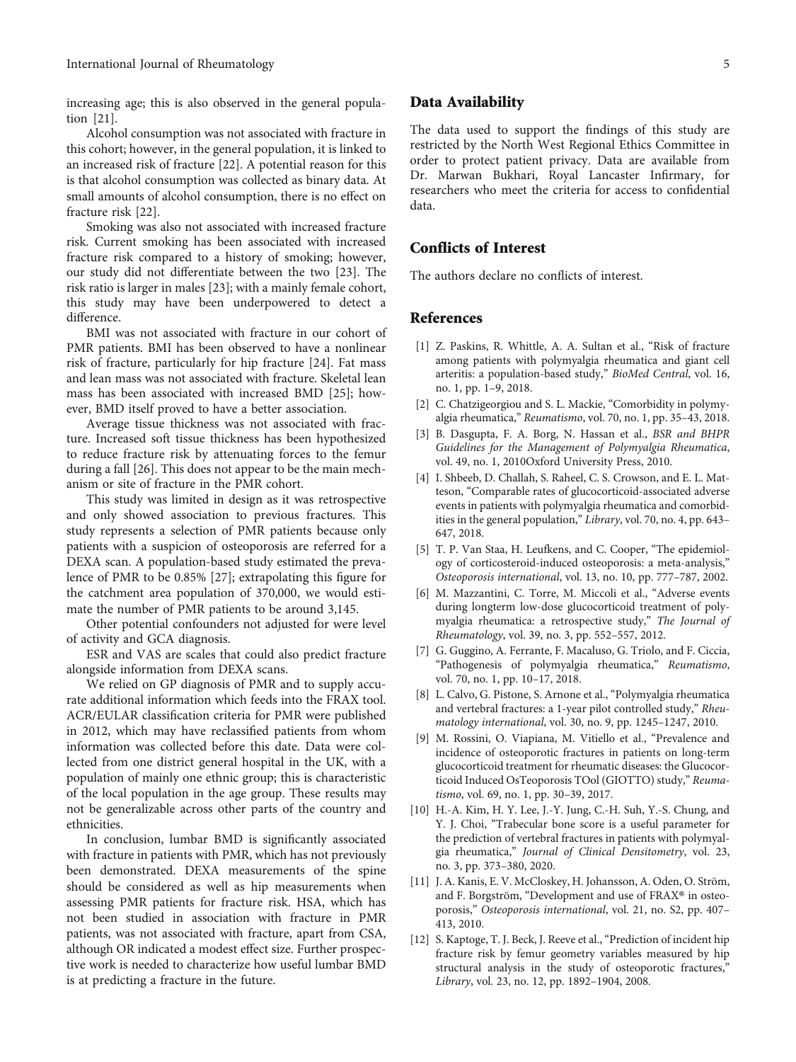<span id="page-4-0"></span>increasing age; this is also observed in the general population [\[21](#page-5-0)].

Alcohol consumption was not associated with fracture in this cohort; however, in the general population, it is linked to an increased risk of fracture [[22](#page-5-0)]. A potential reason for this is that alcohol consumption was collected as binary data. At small amounts of alcohol consumption, there is no effect on fracture risk [\[22](#page-5-0)].

Smoking was also not associated with increased fracture risk. Current smoking has been associated with increased fracture risk compared to a history of smoking; however, our study did not differentiate between the two [\[23\]](#page-5-0). The risk ratio is larger in males [\[23\]](#page-5-0); with a mainly female cohort, this study may have been underpowered to detect a difference.

BMI was not associated with fracture in our cohort of PMR patients. BMI has been observed to have a nonlinear risk of fracture, particularly for hip fracture [\[24\]](#page-5-0). Fat mass and lean mass was not associated with fracture. Skeletal lean mass has been associated with increased BMD [\[25\]](#page-5-0); however, BMD itself proved to have a better association.

Average tissue thickness was not associated with fracture. Increased soft tissue thickness has been hypothesized to reduce fracture risk by attenuating forces to the femur during a fall [[26](#page-5-0)]. This does not appear to be the main mechanism or site of fracture in the PMR cohort.

This study was limited in design as it was retrospective and only showed association to previous fractures. This study represents a selection of PMR patients because only patients with a suspicion of osteoporosis are referred for a DEXA scan. A population-based study estimated the prevalence of PMR to be 0.85% [[27](#page-5-0)]; extrapolating this figure for the catchment area population of 370,000, we would estimate the number of PMR patients to be around 3,145.

Other potential confounders not adjusted for were level of activity and GCA diagnosis.

ESR and VAS are scales that could also predict fracture alongside information from DEXA scans.

We relied on GP diagnosis of PMR and to supply accurate additional information which feeds into the FRAX tool. ACR/EULAR classification criteria for PMR were published in 2012, which may have reclassified patients from whom information was collected before this date. Data were collected from one district general hospital in the UK, with a population of mainly one ethnic group; this is characteristic of the local population in the age group. These results may not be generalizable across other parts of the country and ethnicities.

In conclusion, lumbar BMD is significantly associated with fracture in patients with PMR, which has not previously been demonstrated. DEXA measurements of the spine should be considered as well as hip measurements when assessing PMR patients for fracture risk. HSA, which has not been studied in association with fracture in PMR patients, was not associated with fracture, apart from CSA, although OR indicated a modest effect size. Further prospective work is needed to characterize how useful lumbar BMD is at predicting a fracture in the future.

#### Data Availability

The data used to support the findings of this study are restricted by the North West Regional Ethics Committee in order to protect patient privacy. Data are available from Dr. Marwan Bukhari, Royal Lancaster Infirmary, for researchers who meet the criteria for access to confidential data.

## Conflicts of Interest

The authors declare no conflicts of interest.

#### References

- [1] Z. Paskins, R. Whittle, A. A. Sultan et al., "Risk of fracture among patients with polymyalgia rheumatica and giant cell arteritis: a population-based study," BioMed Central, vol. 16, no. 1, pp. 1–9, 2018.
- [2] C. Chatzigeorgiou and S. L. Mackie, "Comorbidity in polymyalgia rheumatica," Reumatismo, vol. 70, no. 1, pp. 35–43, 2018.
- [3] B. Dasgupta, F. A. Borg, N. Hassan et al., BSR and BHPR Guidelines for the Management of Polymyalgia Rheumatica, vol. 49, no. 1, 2010Oxford University Press, 2010.
- [4] I. Shbeeb, D. Challah, S. Raheel, C. S. Crowson, and E. L. Matteson, "Comparable rates of glucocorticoid-associated adverse events in patients with polymyalgia rheumatica and comorbidities in the general population," Library, vol. 70, no. 4, pp. 643– 647, 2018.
- [5] T. P. Van Staa, H. Leufkens, and C. Cooper, "The epidemiology of corticosteroid-induced osteoporosis: a meta-analysis," Osteoporosis international, vol. 13, no. 10, pp. 777–787, 2002.
- [6] M. Mazzantini, C. Torre, M. Miccoli et al., "Adverse events during longterm low-dose glucocorticoid treatment of polymyalgia rheumatica: a retrospective study," The Journal of Rheumatology, vol. 39, no. 3, pp. 552–557, 2012.
- [7] G. Guggino, A. Ferrante, F. Macaluso, G. Triolo, and F. Ciccia, "Pathogenesis of polymyalgia rheumatica," Reumatismo, vol. 70, no. 1, pp. 10–17, 2018.
- [8] L. Calvo, G. Pistone, S. Arnone et al., "Polymyalgia rheumatica and vertebral fractures: a 1-year pilot controlled study," Rheumatology international, vol. 30, no. 9, pp. 1245–1247, 2010.
- [9] M. Rossini, O. Viapiana, M. Vitiello et al., "Prevalence and incidence of osteoporotic fractures in patients on long-term glucocorticoid treatment for rheumatic diseases: the Glucocorticoid Induced OsTeoporosis TOol (GIOTTO) study," Reumatismo, vol. 69, no. 1, pp. 30–39, 2017.
- [10] H.-A. Kim, H. Y. Lee, J.-Y. Jung, C.-H. Suh, Y.-S. Chung, and Y. J. Choi, "Trabecular bone score is a useful parameter for the prediction of vertebral fractures in patients with polymyalgia rheumatica," Journal of Clinical Densitometry, vol. 23, no. 3, pp. 373–380, 2020.
- [11] J. A. Kanis, E. V. McCloskey, H. Johansson, A. Oden, O. Ström, and F. Borgström, "Development and use of FRAX® in osteoporosis," Osteoporosis international, vol. 21, no. S2, pp. 407– 413, 2010.
- [12] S. Kaptoge, T. J. Beck, J. Reeve et al., "Prediction of incident hip fracture risk by femur geometry variables measured by hip structural analysis in the study of osteoporotic fractures," Library, vol. 23, no. 12, pp. 1892–1904, 2008.